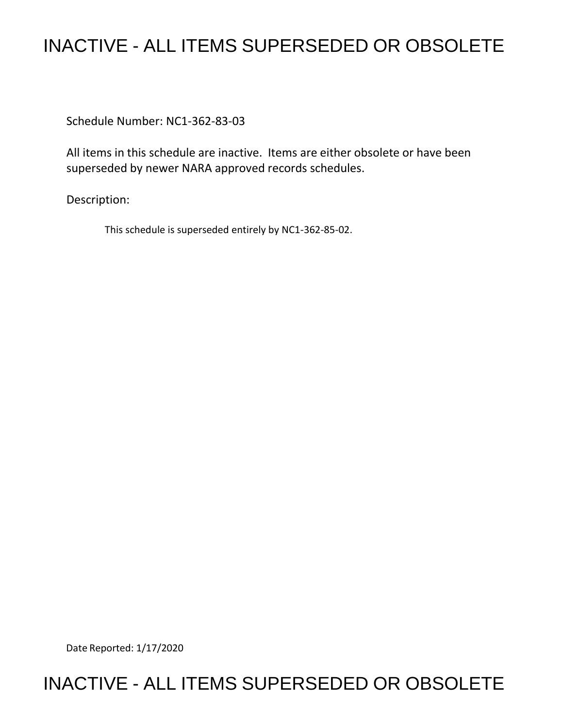## INACTIVE - ALL ITEMS SUPERSEDED OR OBSOLETE

Schedule Number: NC1-362-83-03

All items in this schedule are inactive. Items are either obsolete or have been superseded by newer NARA approved records schedules.

Description:

This schedule is superseded entirely by NC1-362-85-02.

Date Reported: 1/17/2020

## INACTIVE - ALL ITEMS SUPERSEDED OR OBSOLETE